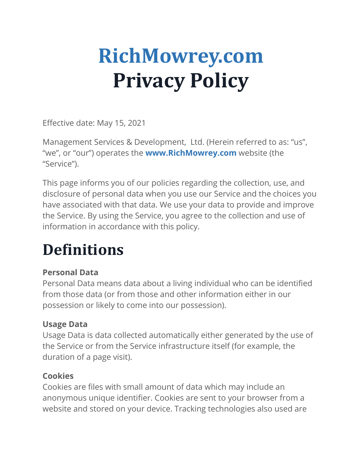# **RichMowrey.com Privacy Policy**

Effective date: May 15, 2021

Management Services & Development, Ltd. (Herein referred to as: "us", "we", or "our") operates the **www.RichMowrey.com** website (the "Service").

This page informs you of our policies regarding the collection, use, and disclosure of personal data when you use our Service and the choices you have associated with that data. We use your data to provide and improve the Service. By using the Service, you agree to the collection and use of information in accordance with this policy.

# **Definitions**

#### **Personal Data**

Personal Data means data about a living individual who can be identified from those data (or from those and other information either in our possession or likely to come into our possession).

# **Usage Data**

Usage Data is data collected automatically either generated by the use of the Service or from the Service infrastructure itself (for example, the duration of a page visit).

# **Cookies**

Cookies are files with small amount of data which may include an anonymous unique identifier. Cookies are sent to your browser from a website and stored on your device. Tracking technologies also used are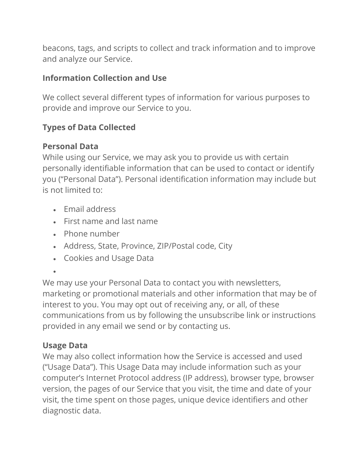beacons, tags, and scripts to collect and track information and to improve and analyze our Service.

#### **Information Collection and Use**

We collect several different types of information for various purposes to provide and improve our Service to you.

#### **Types of Data Collected**

#### **Personal Data**

While using our Service, we may ask you to provide us with certain personally identifiable information that can be used to contact or identify you ("Personal Data"). Personal identification information may include but is not limited to:

- Email address
- First name and last name
- Phone number
- Address, State, Province, ZIP/Postal code, City
- Cookies and Usage Data
- •

We may use your Personal Data to contact you with newsletters, marketing or promotional materials and other information that may be of interest to you. You may opt out of receiving any, or all, of these communications from us by following the unsubscribe link or instructions provided in any email we send or by contacting us.

#### **Usage Data**

We may also collect information how the Service is accessed and used ("Usage Data"). This Usage Data may include information such as your computer's Internet Protocol address (IP address), browser type, browser version, the pages of our Service that you visit, the time and date of your visit, the time spent on those pages, unique device identifiers and other diagnostic data.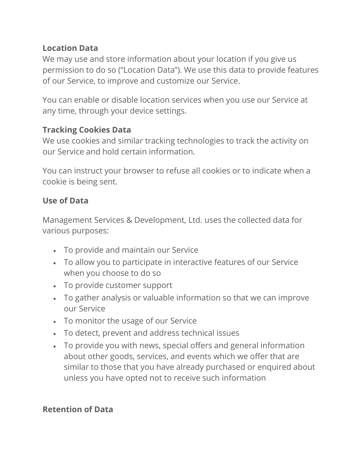#### **Location Data**

We may use and store information about your location if you give us permission to do so ("Location Data"). We use this data to provide features of our Service, to improve and customize our Service.

You can enable or disable location services when you use our Service at any time, through your device settings.

#### **Tracking Cookies Data**

We use cookies and similar tracking technologies to track the activity on our Service and hold certain information.

You can instruct your browser to refuse all cookies or to indicate when a cookie is being sent.

#### **Use of Data**

Management Services & Development, Ltd. uses the collected data for various purposes:

- To provide and maintain our Service
- To allow you to participate in interactive features of our Service when you choose to do so
- To provide customer support
- To gather analysis or valuable information so that we can improve our Service
- To monitor the usage of our Service
- To detect, prevent and address technical issues
- To provide you with news, special offers and general information about other goods, services, and events which we offer that are similar to those that you have already purchased or enquired about unless you have opted not to receive such information

#### **Retention of Data**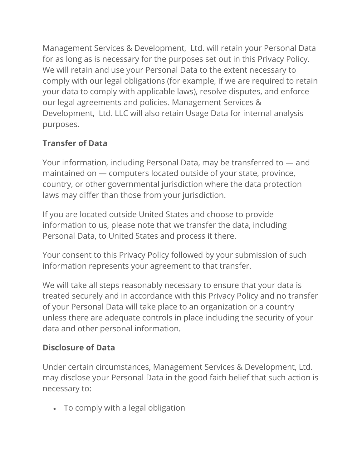Management Services & Development, Ltd. will retain your Personal Data for as long as is necessary for the purposes set out in this Privacy Policy. We will retain and use your Personal Data to the extent necessary to comply with our legal obligations (for example, if we are required to retain your data to comply with applicable laws), resolve disputes, and enforce our legal agreements and policies. Management Services & Development, Ltd. LLC will also retain Usage Data for internal analysis purposes.

# **Transfer of Data**

Your information, including Personal Data, may be transferred to — and maintained on — computers located outside of your state, province, country, or other governmental jurisdiction where the data protection laws may differ than those from your jurisdiction.

If you are located outside United States and choose to provide information to us, please note that we transfer the data, including Personal Data, to United States and process it there.

Your consent to this Privacy Policy followed by your submission of such information represents your agreement to that transfer.

We will take all steps reasonably necessary to ensure that your data is treated securely and in accordance with this Privacy Policy and no transfer of your Personal Data will take place to an organization or a country unless there are adequate controls in place including the security of your data and other personal information.

# **Disclosure of Data**

Under certain circumstances, Management Services & Development, Ltd. may disclose your Personal Data in the good faith belief that such action is necessary to:

• To comply with a legal obligation